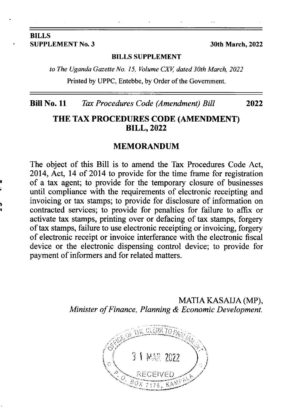#### **BILLS** SUPPLEMENT No. 3 30th March, 2022

l I

I

#### BILLS SUPPLEMENT

to The Uganda Gazette No. 15, Volume CXV, dated 30th March, 2022

Printed by UPPC, Entebbe, by Order of the Govemment.

#### Bill No. 11 Tax Procedures Code (Amendment) Bill 2022

### THE TAX PROCEDURES CODE (AMENDMENT) **BILL, 2022**

#### MEMORANDUM

The object of this Bill is to amend the Tax Procedures Code Act, 2014, Act, 14 of 2014 to provide for the time frame for registration of a tax agent; to provide for the temporary closure of businesses until compliance with the requirements of electronic receipting and invoicing or tax stamps; to provide for disclosure of information on contracted services; to provide for penalties for failure to affix or activate tax stamps, printing over or defacing of tax stamps, forgery of tax stamps, failure to use electronic receipting or invoicing, forgery of electronic receipt or invoice interferance with the electronic fiscal device or the electronic dispensing control device; to provide for payment of informers and for related matters.

> MATIA KASAIJA (MP), Minister of Finance, Planning & Economic Development.

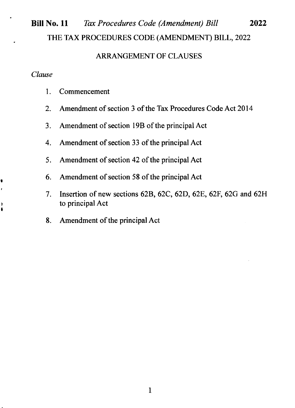# Bill No. 11 Tax Procedures Code (Amendment) Bill 2022 THE TAX PROCEDURES CODE (AMENDMENT) BILL, 2022

#### ARRANGEMENT OF CLAUSES

#### Clause

t

I

- 1. Commencement
- 2. Amendment of section 3 of the Tax Procedures Code Act 2014
- 3. Amendment of section 19B of the principal Act
- 4. Amendment of section 33 of the principal Act
- 5. Amendment of section 42 of the principal Act
- 6. Amendment of section 58 of the principal Act
- 7. Insertion of new sections 62B, 62C, 62D, 62E, 62F, 62G and 62H to principal Act
- 8. Amendment of the principal Act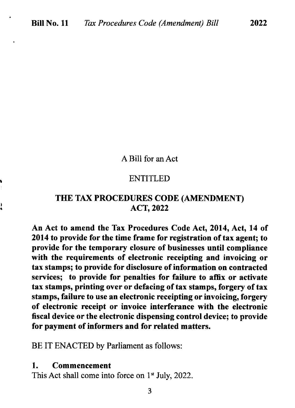### A Bill for an Act

#### ENTITLED

### THE TAX PROCEDURES CODE (AMENDMENT) ACT, 2022

An Act to amend the Tax Procedures Code Act, 2014, Act, 14 of 2014 to provide for the time frame for registration of tax agent; to provide for the temporary closure of businesses until compliance with the requirements of electronic receipting and invoicing or tax stamps; to provide for disclosure of information on contracted services; to provide for penalties for failure to affix or activate tax stamps, printing over or defacing of tax stamps, forgery of tax stamps, failure to use an electronic receipting or invoicing, forgery of electronic receipt or invoice interferance with the electronic fiscal device or the electronic dispensing control device; to provide for payment of informers and for related matters.

BE IT ENACTED by Parliament as follows:

#### 1. Commencement

) {

This Act shall come into force on  $1<sup>st</sup>$  July, 2022.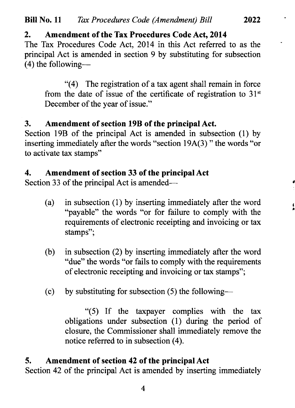# 2. Amendment of the Tax Procedures Code Act, 2014

The Tax Procedures Code Act, 2014 in this Act referred to as the principal Act is amended in section 9 by substituting for subsection  $(4)$  the following-

\*(4) The registration of a tax agent shall remain in force from the date of issue of the certificate of registration to  $31<sup>st</sup>$ December of the year of issue."

# 3. Amendment of section 19B of the principal Act.

Section l9B of the principal Act is amended in subsection (1) by inserting immediately after the words "section l9A(3) " the words "or to activate tax stamps"

# 4. Amendment of section 33 of the principal Act

Section 33 of the principal Act is amended-

(a) in subsection (1) by inserting immediately after the word "payable" the words "or for failure to comply with the requirements of electronic receipting and invoicing or tax stamps";

I ,

- (b) in subsection (2) by inserting immediately after the word "due" the words "or fails to comply with the requirements of electronic receipting and invoicing or tax stamps";
- (c) by substituting for subsection  $(5)$  the following-

"(5) If the taxpayer complies with the tax obligations under subsection (1) during the period of closure, the Commissioner shall immediately remove the notice referred to in subsection (4).

# 5. Amendment of section 42 of the principal Act

Section 42 of the principal Act is amended by inserting immediately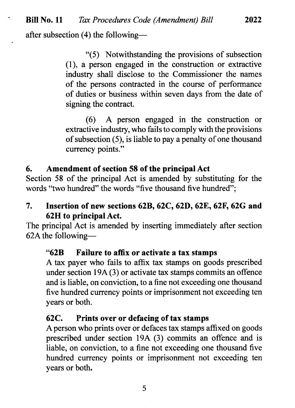after subsection (4) the following-

"(5) Notwithstanding the provisions of subsection (1), a person engaged in the construction or extractive industry shall disclose to the Commissioner the names of the persons contracted in the course of performance of duties or business within seven days from the date of signing the contract.

2022

(6) A person engaged in the construction or extractive industry, who fails to comply with the provisions of subsection (5), is liable to pay a penalty of one thousand currency points."

### 6. Amendment of section 58 of the principal Act

Section 58 of the principal Act is amended by substituting for the words "two hundred" the words "five thousand five hundred";

### 7. Insertion of new sections 62B, 62C, 62D, 62E, 62F, 62G and 62H to principal Act.

The principal Act is amended by inserting immediately after section 62A the following-

### "628 Failure to affx or activate a tax stamps

A tax payer who fails to affix tax stamps on goods prescribed under section 19A (3) or activate tax stamps commits an offence and is liable, on conviction, to a fine not exceeding one thousand five hundred currency points or imprisonment not exceeding ten years or both.

### 62C. Prints over or defacing of tax stamps

Aperson who prints over or defaces tax stamps affixed on goods prescribed under section 19A (3) commits an offence and is liable, on conviction, to a fine not exceeding one thousand five hundred currency points or imprisonment not exceeding ten years or both.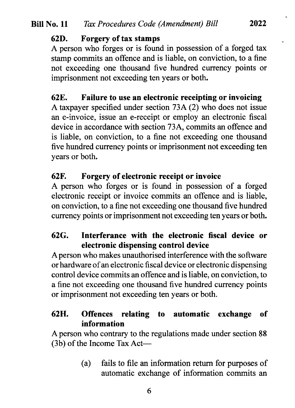### 62D. Forgery of tax stamps

A person who forges or is found in possession of a forged tax stamp commits an offence and is liable, on conviction, to a fine not exceeding one thousand five hundred currency points or imprisonment not exceeding ten years or both.

# 62E. Failure to use an electronic receipting or invoicing

A taxpayer specified under section 73A (2) who does not issue an e-invoice, issue an e-receipt or employ an electronic fiscal device in accordance with section 73A, commits an offence and is liable, on conviction, to a fine not exceeding one thousand five hundred currency points or imprisonment not exceeding ten years or both.

# 62F. Forgery of electronic receipt or invoice

A person who forges or is found in possession of a forged electronic receipt or invoice commits an offence and is liable, on conviction, to a fine not exceeding one thousand five hundred currency points or imprisonment not exceeding ten years or both.

# 62G. Interferance with the electronic fiscal device or electronic dispensing control device

Aperson who makes unauthorised interference with the software or hardware of an electronic fiscal device or electronic dispensing control device commits an offence and is liable, on conviction, to a fine not exceeding one thousand five hundred currency points or imprisonment not exceeding ten years or both.

# 62H. Offences relating to automatic exchange of information

A person who contrary to the regulations made under section 88  $(3b)$  of the Income Tax Act--

> (a) fails to file an information return for purposes of automatic exchange of information commits an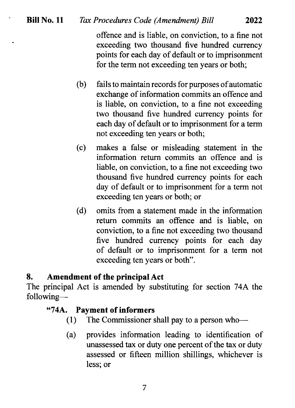# Bill No. 11 Tax Procedures Code (Amendment) Bill 2022

offence and is liable, on conviction, to a fine not exceeding two thousand five hundred currency points for each day of default or to imprisonment for the term not exceeding ten years or both;

- $(b)$  fails to maintain records for purposes of automatic exchange of information commits an offence and is liable, on conviction, to a fine not exceeding two thousand five hundred currency points for each day of default or to imprisonment for a term not exceeding ten years or both;
- (c) makes a false or misleading statement in the information return commits an offence and is liable, on conviction, to a fine not exceeding two thousand five hundred currency points for each day of default or to imprisonment for a term not exceeding ten years or both; or
- (d) omits from a statement made in the information return commits an offence and is liable, on conviction, to a fine not exceeding two thousand five hundred currency points for each day of default or to imprisonment for a term not exceeding ten years or both".

## 8. Amendment of the principal Act

The principal Act is amended by substituting for section 74A the following-

#### "74A. Payment of informers

- (1) The Commissioner shall pay to a person who-
- (a) provides information leading to identification of unassessed tax or duty one percent of the tax or duty assessed or fifteen million shillings, whichever is less; or